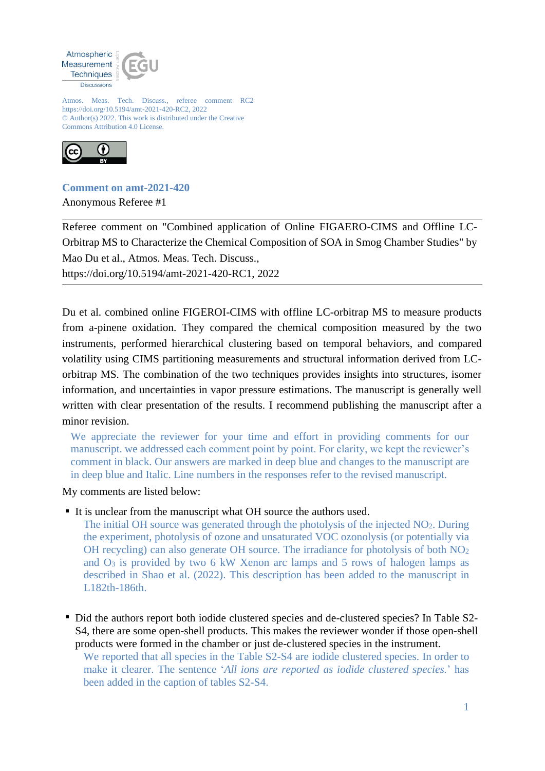

Atmos. Meas. Tech. Discuss., referee comment RC2 https://doi.org/10.5194/amt-2021-420-RC2, 2022 © Author(s) 2022. This work is distributed under the Creative Commons Attribution 4.0 License.



**Comment on amt-2021-420** Anonymous Referee #1

Referee comment on "Combined application of Online FIGAERO-CIMS and Offline LC-Orbitrap MS to Characterize the Chemical Composition of SOA in Smog Chamber Studies" by Mao Du et al., Atmos. Meas. Tech. Discuss.,

https://doi.org/10.5194/amt-2021-420-RC1, 2022

Du et al. combined online FIGEROI-CIMS with offline LC-orbitrap MS to measure products from a-pinene oxidation. They compared the chemical composition measured by the two instruments, performed hierarchical clustering based on temporal behaviors, and compared volatility using CIMS partitioning measurements and structural information derived from LCorbitrap MS. The combination of the two techniques provides insights into structures, isomer information, and uncertainties in vapor pressure estimations. The manuscript is generally well written with clear presentation of the results. I recommend publishing the manuscript after a minor revision.

We appreciate the reviewer for your time and effort in providing comments for our manuscript. we addressed each comment point by point. For clarity, we kept the reviewer's comment in black. Our answers are marked in deep blue and changes to the manuscript are in deep blue and Italic. Line numbers in the responses refer to the revised manuscript.

My comments are listed below:

It is unclear from the manuscript what OH source the authors used.

The initial OH source was generated through the photolysis of the injected NO2. During the experiment, photolysis of ozone and unsaturated VOC ozonolysis (or potentially via OH recycling) can also generate OH source. The irradiance for photolysis of both NO<sup>2</sup> and O<sup>3</sup> is provided by two 6 kW Xenon arc lamps and 5 rows of halogen lamps as described in Shao et al. (2022). This description has been added to the manuscript in L182th-186th.

Did the authors report both iodide clustered species and de-clustered species? In Table S2-S4, there are some open-shell products. This makes the reviewer wonder if those open-shell products were formed in the chamber or just de-clustered species in the instrument.

We reported that all species in the Table S2-S4 are iodide clustered species. In order to make it clearer. The sentence '*All ions are reported as iodide clustered species.*' has been added in the caption of tables S2-S4.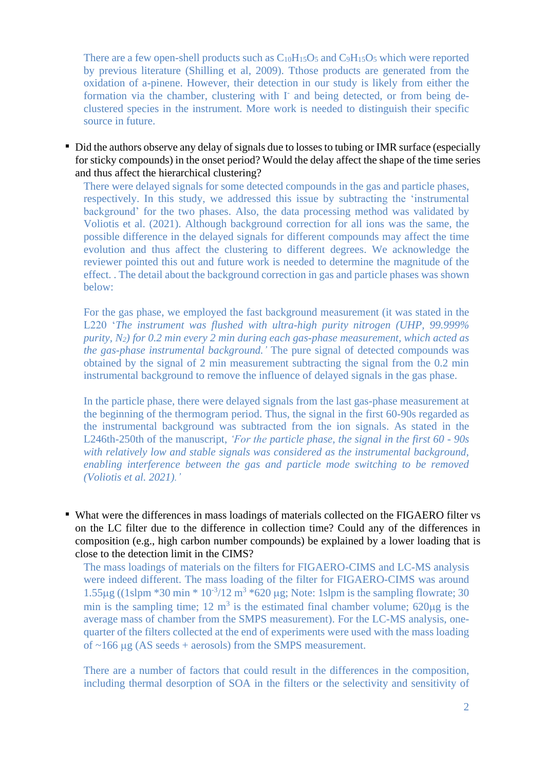There are a few open-shell products such as  $C_{10}H_{15}O_5$  and  $C_9H_{15}O_5$  which were reported by previous literature (Shilling et al, 2009). Tthose products are generated from the oxidation of a-pinene. However, their detection in our study is likely from either the formation via the chamber, clustering with I<sup>-</sup> and being detected, or from being declustered species in the instrument. More work is needed to distinguish their specific source in future.

• Did the authors observe any delay of signals due to losses to tubing or IMR surface (especially for sticky compounds) in the onset period? Would the delay affect the shape of the time series and thus affect the hierarchical clustering?

There were delayed signals for some detected compounds in the gas and particle phases, respectively. In this study, we addressed this issue by subtracting the 'instrumental background' for the two phases. Also, the data processing method was validated by Voliotis et al. (2021). Although background correction for all ions was the same, the possible difference in the delayed signals for different compounds may affect the time evolution and thus affect the clustering to different degrees. We acknowledge the reviewer pointed this out and future work is needed to determine the magnitude of the effect. . The detail about the background correction in gas and particle phases was shown below:

For the gas phase, we employed the fast background measurement (it was stated in the L220 '*The instrument was flushed with ultra-high purity nitrogen (UHP, 99.999% purity, N2) for 0.2 min every 2 min during each gas-phase measurement, which acted as the gas-phase instrumental background.'* The pure signal of detected compounds was obtained by the signal of 2 min measurement subtracting the signal from the 0.2 min instrumental background to remove the influence of delayed signals in the gas phase.

In the particle phase, there were delayed signals from the last gas-phase measurement at the beginning of the thermogram period. Thus, the signal in the first 60-90s regarded as the instrumental background was subtracted from the ion signals. As stated in the L246th-250th of the manuscript, *'For the particle phase, the signal in the first 60 - 90s with relatively low and stable signals was considered as the instrumental background, enabling interference between the gas and particle mode switching to be removed (Voliotis et al. 2021).'*

What were the differences in mass loadings of materials collected on the FIGAERO filter vs on the LC filter due to the difference in collection time? Could any of the differences in composition (e.g., high carbon number compounds) be explained by a lower loading that is close to the detection limit in the CIMS?

The mass loadings of materials on the filters for FIGAERO-CIMS and LC-MS analysis were indeed different. The mass loading of the filter for FIGAERO-CIMS was around 1.55 $\mu$ g ((1slpm \*30 min \* 10<sup>-3</sup>/12 m<sup>3</sup> \*620  $\mu$ g; Note: 1slpm is the sampling flowrate; 30 min is the sampling time; 12  $m<sup>3</sup>$  is the estimated final chamber volume; 620 $\mu$ g is the average mass of chamber from the SMPS measurement). For the LC-MS analysis, onequarter of the filters collected at the end of experiments were used with the mass loading of  $\sim$ 166 µg (AS seeds + aerosols) from the SMPS measurement.

There are a number of factors that could result in the differences in the composition, including thermal desorption of SOA in the filters or the selectivity and sensitivity of